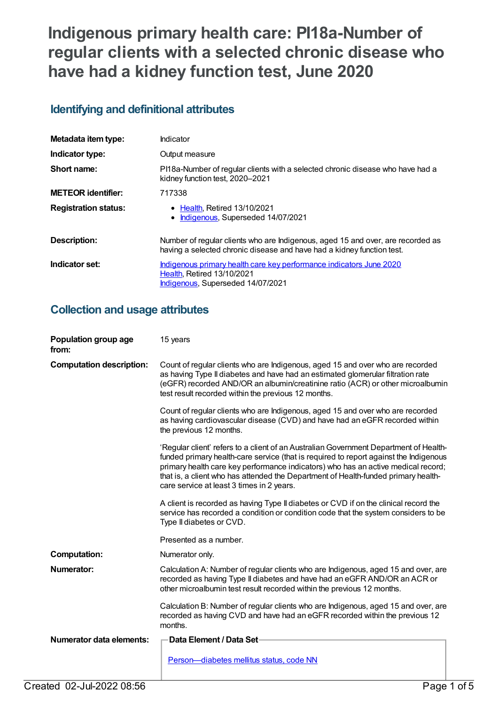# **Indigenous primary health care: PI18a-Number of regular clients with a selected chronic disease who have had a kidney function test, June 2020**

## **Identifying and definitional attributes**

| Metadata item type:         | Indicator                                                                                                                                                 |
|-----------------------------|-----------------------------------------------------------------------------------------------------------------------------------------------------------|
| Indicator type:             | Output measure                                                                                                                                            |
| Short name:                 | PI18a-Number of regular clients with a selected chronic disease who have had a<br>kidney function test, 2020-2021                                         |
| <b>METEOR identifier:</b>   | 717338                                                                                                                                                    |
| <b>Registration status:</b> | • Health, Retired 13/10/2021<br>• Indigenous, Superseded 14/07/2021                                                                                       |
| <b>Description:</b>         | Number of regular clients who are Indigenous, aged 15 and over, are recorded as<br>having a selected chronic disease and have had a kidney function test. |
| Indicator set:              | Indigenous primary health care key performance indicators June 2020<br><b>Health, Retired 13/10/2021</b><br>Indigenous, Superseded 14/07/2021             |

## **Collection and usage attributes**

| Population group age<br>from:   | 15 years                                                                                                                                                                                                                                                                                                                                                                                               |
|---------------------------------|--------------------------------------------------------------------------------------------------------------------------------------------------------------------------------------------------------------------------------------------------------------------------------------------------------------------------------------------------------------------------------------------------------|
| <b>Computation description:</b> | Count of regular clients who are Indigenous, aged 15 and over who are recorded<br>as having Type II diabetes and have had an estimated glomerular filtration rate<br>(eGFR) recorded AND/OR an albumin/creatinine ratio (ACR) or other microalbumin<br>test result recorded within the previous 12 months.                                                                                             |
|                                 | Count of regular clients who are Indigenous, aged 15 and over who are recorded<br>as having cardiovascular disease (CVD) and have had an eGFR recorded within<br>the previous 12 months.                                                                                                                                                                                                               |
|                                 | 'Regular client' refers to a client of an Australian Government Department of Health-<br>funded primary health-care service (that is required to report against the Indigenous<br>primary health care key performance indicators) who has an active medical record;<br>that is, a client who has attended the Department of Health-funded primary health-<br>care service at least 3 times in 2 years. |
|                                 | A client is recorded as having Type II diabetes or CVD if on the clinical record the<br>service has recorded a condition or condition code that the system considers to be<br>Type II diabetes or CVD.                                                                                                                                                                                                 |
|                                 | Presented as a number.                                                                                                                                                                                                                                                                                                                                                                                 |
| <b>Computation:</b>             | Numerator only.                                                                                                                                                                                                                                                                                                                                                                                        |
| Numerator:                      | Calculation A: Number of regular clients who are Indigenous, aged 15 and over, are<br>recorded as having Type II diabetes and have had an eGFR AND/OR an ACR or<br>other microalbumin test result recorded within the previous 12 months.                                                                                                                                                              |
|                                 | Calculation B: Number of regular clients who are Indigenous, aged 15 and over, are<br>recorded as having CVD and have had an eGFR recorded within the previous 12<br>months.                                                                                                                                                                                                                           |
| <b>Numerator data elements:</b> | Data Element / Data Set                                                                                                                                                                                                                                                                                                                                                                                |
|                                 | Person-diabetes mellitus status, code NN                                                                                                                                                                                                                                                                                                                                                               |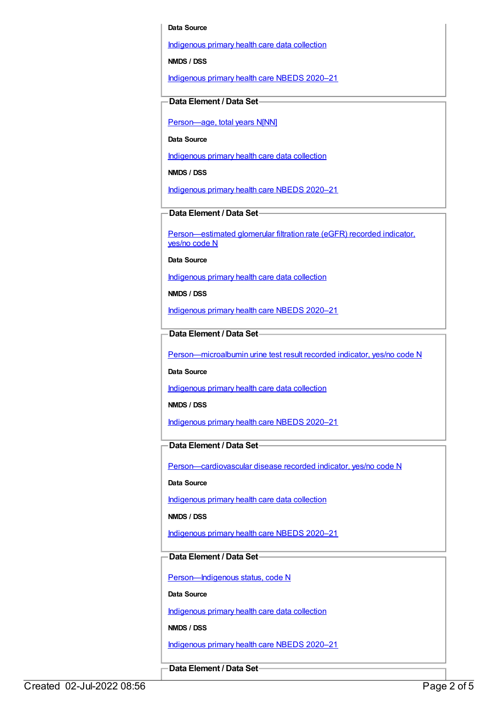#### **Data Source**

[Indigenous](https://meteor.aihw.gov.au/content/430643) primary health care data collection

**NMDS / DSS**

[Indigenous](https://meteor.aihw.gov.au/content/715320) primary health care NBEDS 2020–21

#### **Data Element / Data Set**

Person-age, total years N[NN]

**Data Source**

[Indigenous](https://meteor.aihw.gov.au/content/430643) primary health care data collection

**NMDS / DSS**

[Indigenous](https://meteor.aihw.gov.au/content/715320) primary health care NBEDS 2020–21

**Data Element / Data Set**

[Person—estimated](https://meteor.aihw.gov.au/content/464961) glomerular filtration rate (eGFR) recorded indicator, yes/no code N

**Data Source**

[Indigenous](https://meteor.aihw.gov.au/content/430643) primary health care data collection

**NMDS / DSS**

[Indigenous](https://meteor.aihw.gov.au/content/715320) primary health care NBEDS 2020–21

**Data Element / Data Set**

[Person—microalbumin](https://meteor.aihw.gov.au/content/464970) urine test result recorded indicator, yes/no code N

**Data Source**

[Indigenous](https://meteor.aihw.gov.au/content/430643) primary health care data collection

**NMDS / DSS**

[Indigenous](https://meteor.aihw.gov.au/content/715320) primary health care NBEDS 2020–21

**Data Element / Data Set**

[Person—cardiovascular](https://meteor.aihw.gov.au/content/465948) disease recorded indicator, yes/no code N

**Data Source**

[Indigenous](https://meteor.aihw.gov.au/content/430643) primary health care data collection

**NMDS / DSS**

[Indigenous](https://meteor.aihw.gov.au/content/715320) primary health care NBEDS 2020–21

#### **Data Element / Data Set**

Person-Indigenous status, code N

**Data Source**

[Indigenous](https://meteor.aihw.gov.au/content/430643) primary health care data collection

**NMDS / DSS**

[Indigenous](https://meteor.aihw.gov.au/content/715320) primary health care NBEDS 2020–21

**Data Element / Data Set**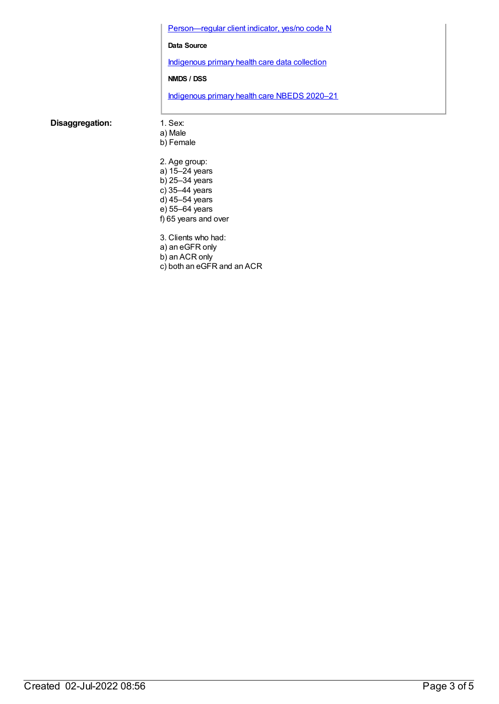Person-regular client indicator, yes/no code N

#### **Data Source**

[Indigenous](https://meteor.aihw.gov.au/content/430643) primary health care data collection

#### **NMDS / DSS**

[Indigenous](https://meteor.aihw.gov.au/content/715320) primary health care NBEDS 2020–21

#### **Disaggregation:** 1. Sex:

- a) Male
- b) Female
- 2. Age group: a) 15–24 years b) 25–34 years c) 35–44 years d) 45–54 years e) 55–64 years f) 65 years and over
- 3. Clients who had:
- a) an eGFR only
- b) an ACR only
- c) both an eGFR and an ACR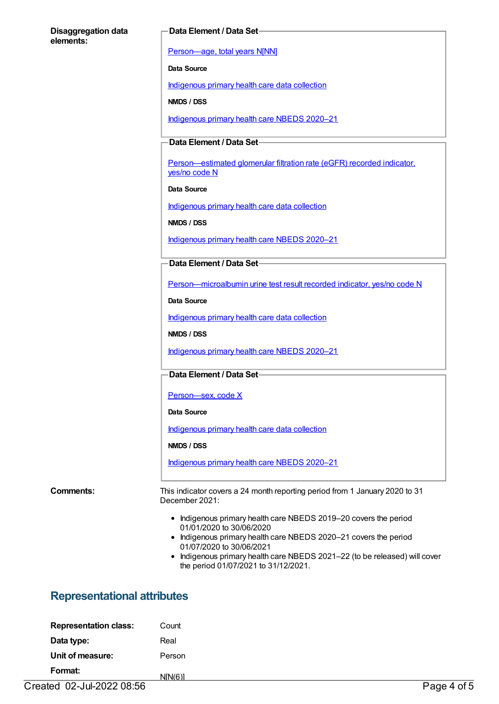#### **Disaggregation data elements:**

#### **Data Element / Data Set**

[Person—age,](https://meteor.aihw.gov.au/content/303794) total years N[NN]

**Data Source**

[Indigenous](https://meteor.aihw.gov.au/content/430643) primary health care data collection

**NMDS / DSS**

[Indigenous](https://meteor.aihw.gov.au/content/715320) primary health care NBEDS 2020–21

#### **Data Element / Data Set**

[Person—estimated](https://meteor.aihw.gov.au/content/464961) glomerular filtration rate (eGFR) recorded indicator, yes/no code N

**Data Source**

[Indigenous](https://meteor.aihw.gov.au/content/430643) primary health care data collection

**NMDS / DSS**

[Indigenous](https://meteor.aihw.gov.au/content/715320) primary health care NBEDS 2020–21

**Data Element / Data Set**

[Person—microalbumin](https://meteor.aihw.gov.au/content/464970) urine test result recorded indicator, yes/no code N

**Data Source**

[Indigenous](https://meteor.aihw.gov.au/content/430643) primary health care data collection

**NMDS / DSS**

[Indigenous](https://meteor.aihw.gov.au/content/715320) primary health care NBEDS 2020–21

#### **Data Element / Data Set**

[Person—sex,](https://meteor.aihw.gov.au/content/635126) code X

#### **Data Source**

[Indigenous](https://meteor.aihw.gov.au/content/430643) primary health care data collection

**NMDS / DSS**

[Indigenous](https://meteor.aihw.gov.au/content/715320) primary health care NBEDS 2020–21

**Comments:** This indicator covers a 24 month reporting period from 1 January 2020 to 31 December 2021:

- Indigenous primary health care NBEDS 2019–20 covers the period 01/01/2020 to 30/06/2020
- Indigenous primary health care NBEDS 2020-21 covers the period 01/07/2020 to 30/06/2021
- Indigenous primary health care NBEDS 2021-22 (to be released) will cover the period 01/07/2021 to 31/12/2021.

### **Representational attributes**

| <b>Representation class:</b> | Count   |
|------------------------------|---------|
| Data type:                   | Real    |
| Unit of measure:             | Person  |
| Format:                      | NIN(6)1 |

Created 02-Jul-2022 08:56 Page 4 of 5